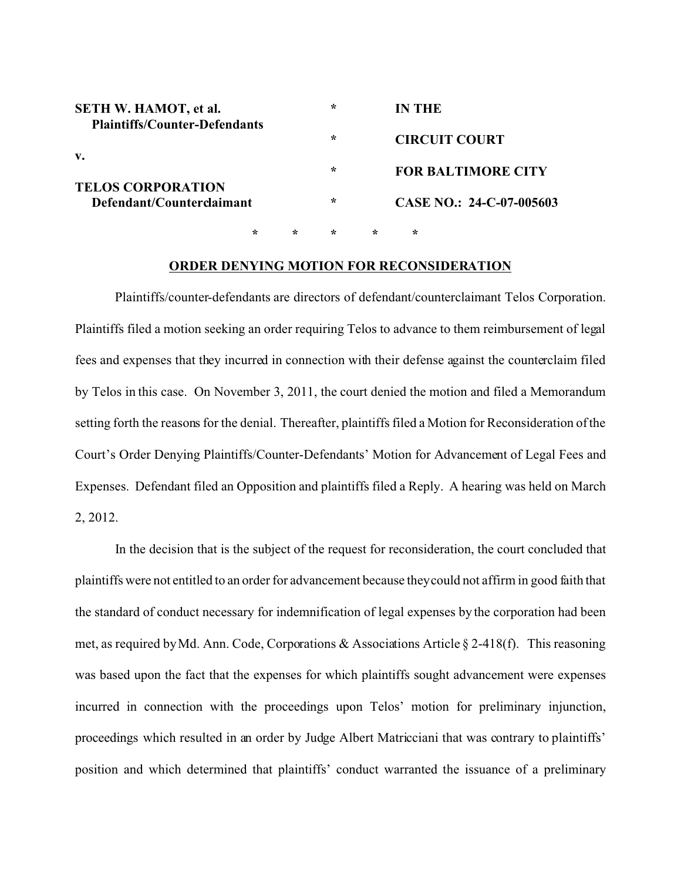| <b>SETH W. HAMOT, et al.</b><br><b>Plaintiffs/Counter-Defendants</b> |        | $\ast$  |         | IN THE                    |   |
|----------------------------------------------------------------------|--------|---------|---------|---------------------------|---|
| v.                                                                   |        | $\star$ |         | <b>CIRCUIT COURT</b>      |   |
| <b>TELOS CORPORATION</b>                                             |        |         | ∗       | <b>FOR BALTIMORE CITY</b> |   |
| Defendant/Counterclaimant                                            |        | ÷       |         | CASE NO.: 24-C-07-005603  |   |
|                                                                      | $\ast$ | ÷       | $\star$ | $\ast$                    | ÷ |

## **ORDER DENYING MOTION FOR RECONSIDERATION**

Plaintiffs/counter-defendants are directors of defendant/counterclaimant Telos Corporation. Plaintiffs filed a motion seeking an order requiring Telos to advance to them reimbursement of legal fees and expenses that they incurred in connection with their defense against the counterclaim filed by Telos in this case. On November 3, 2011, the court denied the motion and filed a Memorandum setting forth the reasons for the denial. Thereafter, plaintiffs filed a Motion for Reconsideration of the Court's Order Denying Plaintiffs/Counter-Defendants' Motion for Advancement of Legal Fees and Expenses. Defendant filed an Opposition and plaintiffs filed a Reply. A hearing was held on March 2, 2012.

In the decision that is the subject of the request for reconsideration, the court concluded that plaintiffs were not entitled to an order for advancement because they could not affirm in good faith that the standard of conduct necessary for indemnification of legal expenses by the corporation had been met, as required by Md. Ann. Code, Corporations & Associations Article § 2-418(f). This reasoning was based upon the fact that the expenses for which plaintiffs sought advancement were expenses incurred in connection with the proceedings upon Telos' motion for preliminary injunction, proceedings which resulted in an order by Judge Albert Matricciani that was contrary to plaintiffs' position and which determined that plaintiffs' conduct warranted the issuance of a preliminary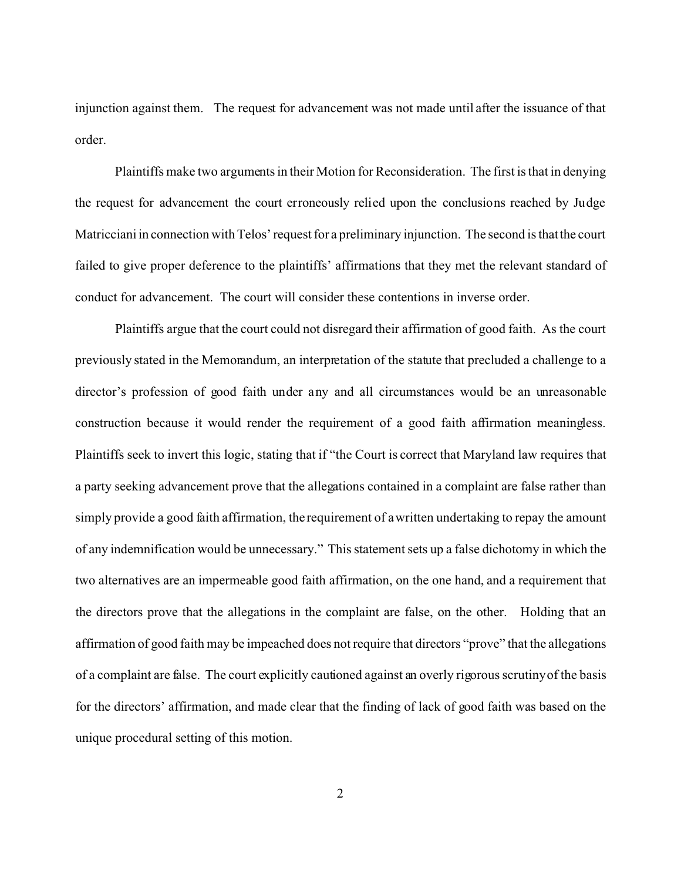injunction against them. The request for advancement was not made until after the issuance of that order.

Plaintiffs make two arguments in their Motion for Reconsideration. The first is that in denying the request for advancement the court erroneously relied upon the conclusions reached by Judge Matricciani in connection with Telos' request for a preliminary injunction. The second is that the court failed to give proper deference to the plaintiffs' affirmations that they met the relevant standard of conduct for advancement. The court will consider these contentions in inverse order.

Plaintiffs argue that the court could not disregard their affirmation of good faith. As the court previously stated in the Memorandum, an interpretation of the statute that precluded a challenge to a director's profession of good faith under any and all circumstances would be an unreasonable construction because it would render the requirement of a good faith affirmation meaningless. Plaintiffs seek to invert this logic, stating that if "the Court is correct that Maryland law requires that a party seeking advancement prove that the allegations contained in a complaint are false rather than simply provide a good faith affirmation, the requirement of a written undertaking to repay the amount of any indemnification would be unnecessary." This statement sets up a false dichotomy in which the two alternatives are an impermeable good faith affirmation, on the one hand, and a requirement that the directors prove that the allegations in the complaint are false, on the other. Holding that an affirmation of good faith may be impeached does not require that directors "prove" that the allegations of a complaint are false. The court explicitly cautioned against an overly rigorous scrutiny of the basis for the directors' affirmation, and made clear that the finding of lack of good faith was based on the unique procedural setting of this motion.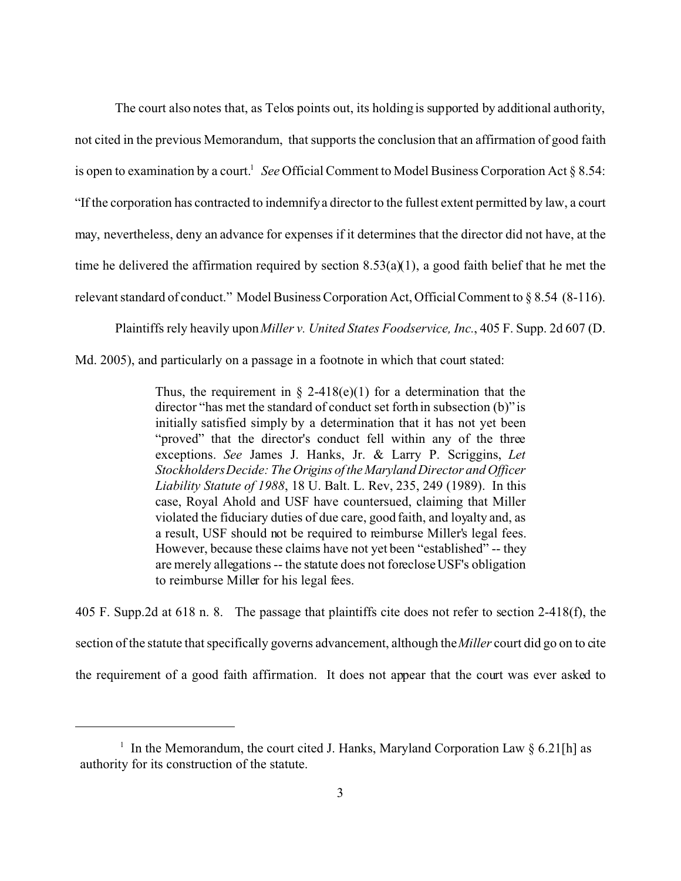The court also notes that, as Telos points out, its holding is supported by additional authority, not cited in the previous Memorandum, that supports the conclusion that an affirmation of good faith is open to examination by a court.<sup>1</sup> See Official Comment to Model Business Corporation Act § 8.54: "If the corporation has contracted to indemnify a director to the fullest extent permitted by law, a court may, nevertheless, deny an advance for expenses if it determines that the director did not have, at the time he delivered the affirmation required by section  $8.53(a)(1)$ , a good faith belief that he met the relevant standard of conduct." Model Business Corporation Act, Official Comment to § 8.54 (8-116).

Plaintiffs rely heavily upon *Miller v. United States Foodservice, Inc.*, 405 F. Supp. 2d 607 (D.

Md. 2005), and particularly on a passage in a footnote in which that court stated:

Thus, the requirement in  $\S$  2-418(e)(1) for a determination that the director "has met the standard of conduct set forth in subsection (b)" is initially satisfied simply by a determination that it has not yet been "proved" that the director's conduct fell within any of the three exceptions. *See* James J. Hanks, Jr. & Larry P. Scriggins, *Let Stockholders Decide: The Origins of theMarylandDirector and Officer Liability Statute of 1988*, 18 U. Balt. L. Rev, 235, 249 (1989). In this case, Royal Ahold and USF have countersued, claiming that Miller violated the fiduciary duties of due care, good faith, and loyalty and, as a result, USF should not be required to reimburse Miller's legal fees. However, because these claims have not yet been "established" -- they are merely allegations -- the statute does not foreclose USF's obligation to reimburse Miller for his legal fees.

405 F. Supp.2d at 618 n. 8. The passage that plaintiffs cite does not refer to section 2-418(f), the section of the statute that specifically governs advancement, although the*Miller* court did go on to cite the requirement of a good faith affirmation. It does not appear that the court was ever asked to

<sup>&</sup>lt;sup>1</sup> In the Memorandum, the court cited J. Hanks, Maryland Corporation Law  $\S 6.21$ [h] as authority for its construction of the statute.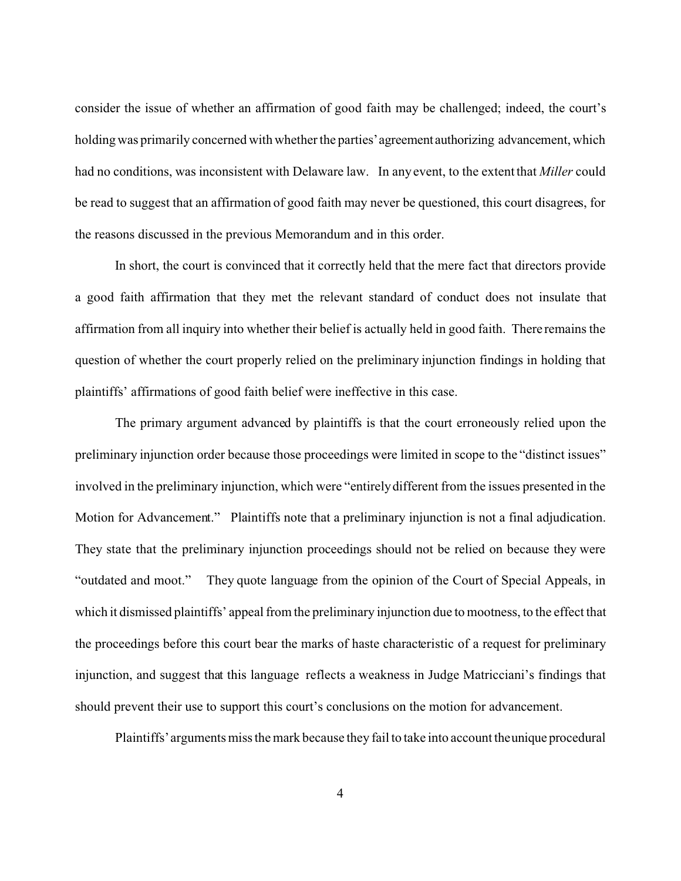consider the issue of whether an affirmation of good faith may be challenged; indeed, the court's holding was primarily concerned with whether the parties' agreement authorizing advancement, which had no conditions, was inconsistent with Delaware law. In any event, to the extent that *Miller* could be read to suggest that an affirmation of good faith may never be questioned, this court disagrees, for the reasons discussed in the previous Memorandum and in this order.

In short, the court is convinced that it correctly held that the mere fact that directors provide a good faith affirmation that they met the relevant standard of conduct does not insulate that affirmation from all inquiry into whether their belief is actually held in good faith. There remains the question of whether the court properly relied on the preliminary injunction findings in holding that plaintiffs' affirmations of good faith belief were ineffective in this case.

The primary argument advanced by plaintiffs is that the court erroneously relied upon the preliminary injunction order because those proceedings were limited in scope to the "distinct issues" involved in the preliminary injunction, which were "entirely different from the issues presented in the Motion for Advancement." Plaintiffs note that a preliminary injunction is not a final adjudication. They state that the preliminary injunction proceedings should not be relied on because they were "outdated and moot." They quote language from the opinion of the Court of Special Appeals, in which it dismissed plaintiffs' appeal from the preliminary injunction due to mootness, to the effect that the proceedings before this court bear the marks of haste characteristic of a request for preliminary injunction, and suggest that this language reflects a weakness in Judge Matricciani's findings that should prevent their use to support this court's conclusions on the motion for advancement.

Plaintiffs' arguments miss the mark because they fail to take into account the unique procedural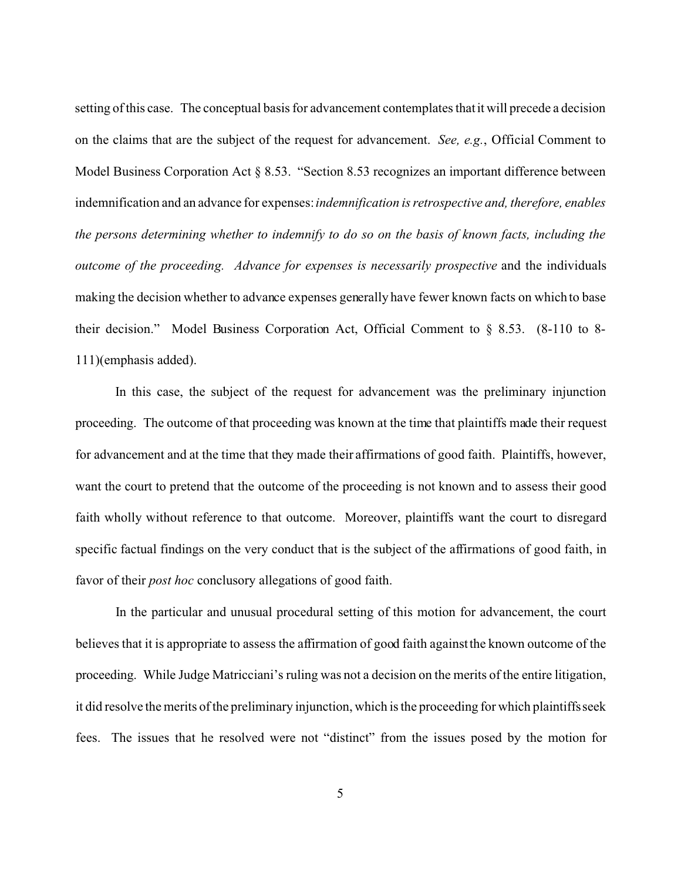setting of this case. The conceptual basis for advancement contemplates that it will precede a decision on the claims that are the subject of the request for advancement. *See, e.g.*, Official Comment to Model Business Corporation Act § 8.53. "Section 8.53 recognizes an important difference between indemnification and an advance for expenses: *indemnification is retrospective and, therefore, enables the persons determining whether to indemnify to do so on the basis of known facts, including the outcome of the proceeding. Advance for expenses is necessarily prospective* and the individuals making the decision whether to advance expenses generally have fewer known facts on which to base their decision." Model Business Corporation Act, Official Comment to § 8.53. (8-110 to 8- 111)(emphasis added).

In this case, the subject of the request for advancement was the preliminary injunction proceeding. The outcome of that proceeding was known at the time that plaintiffs made their request for advancement and at the time that they made their affirmations of good faith. Plaintiffs, however, want the court to pretend that the outcome of the proceeding is not known and to assess their good faith wholly without reference to that outcome. Moreover, plaintiffs want the court to disregard specific factual findings on the very conduct that is the subject of the affirmations of good faith, in favor of their *post hoc* conclusory allegations of good faith.

In the particular and unusual procedural setting of this motion for advancement, the court believes that it is appropriate to assess the affirmation of good faith against the known outcome of the proceeding. While Judge Matricciani's ruling was not a decision on the merits of the entire litigation, it did resolve the merits of the preliminary injunction, which is the proceeding for which plaintiffs seek fees. The issues that he resolved were not "distinct" from the issues posed by the motion for